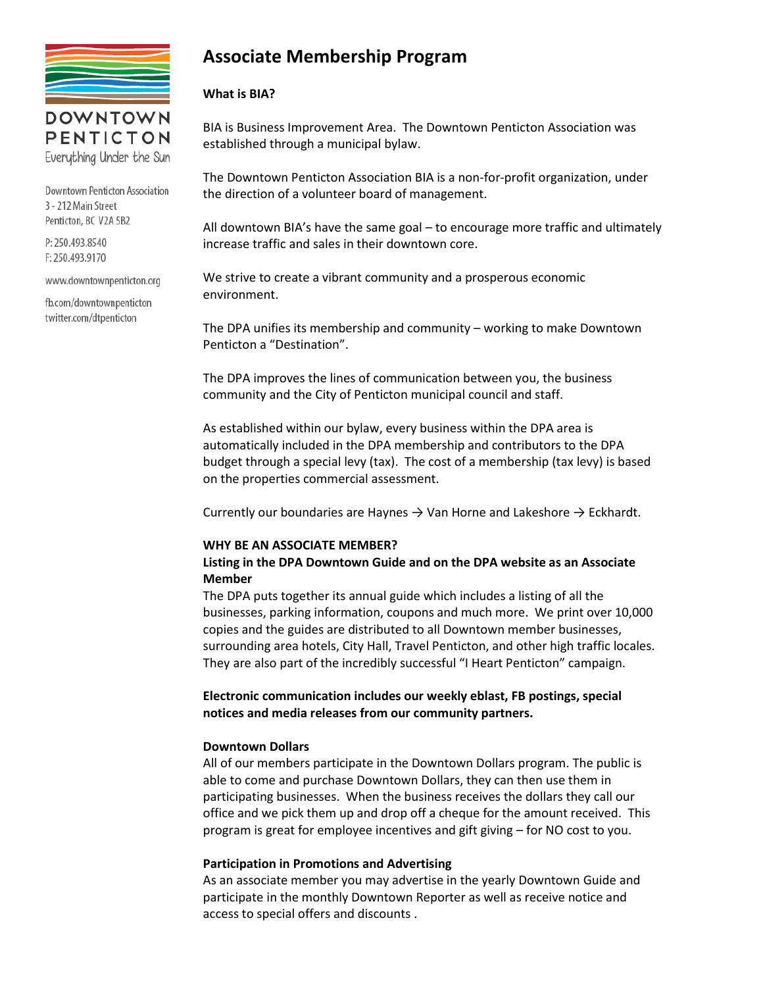

PENTICTON Everything Under the Sun

**Downtown Penticton Association** 3 - 212 Main Street Penticton, BC V2A 5B2

P: 250.493.8540 F: 250.493.9170

www.downtownpenticton.org

fb.com/downtownpenticton twitter.com/dtpenticton

# **Associate Membership Program**

### **What is BIA?**

BIA is Business Improvement Area. The Downtown Penticton Association was established through a municipal bylaw.

The Downtown Penticton Association BIA is a non-for-profit organization, under the direction of a volunteer board of management.

All downtown BIA's have the same goal – to encourage more traffic and ultimately increase traffic and sales in their downtown core.

We strive to create a vibrant community and a prosperous economic environment.

The DPA unifies its membership and community – working to make Downtown Penticton a "Destination".

The DPA improves the lines of communication between you, the business community and the City of Penticton municipal council and staff.

As established within our bylaw, every business within the DPA area is automatically included in the DPA membership and contributors to the DPA budget through a special levy (tax). The cost of a membership (tax levy) is based on the properties commercial assessment.

Currently our boundaries are Haynes  $\rightarrow$  Van Horne and Lakeshore  $\rightarrow$  Eckhardt.

### **WHY BE AN ASSOCIATE MEMBER?**

### **Listing in the DPA Downtown Guide and on the DPA website as an Associate Member**

The DPA puts together its annual guide which includes a listing of all the businesses, parking information, coupons and much more. We print over 10,000 copies and the guides are distributed to all Downtown member businesses, surrounding area hotels, City Hall, Travel Penticton, and other high traffic locales. They are also part of the incredibly successful "I Heart Penticton" campaign.

**Electronic communication includes our weekly eblast, FB postings, special notices and media releases from our community partners.**

### **Downtown Dollars**

All of our members participate in the Downtown Dollars program. The public is able to come and purchase Downtown Dollars, they can then use them in participating businesses. When the business receives the dollars they call our office and we pick them up and drop off a cheque for the amount received. This program is great for employee incentives and gift giving – for NO cost to you.

### **Participation in Promotions and Advertising**

As an associate member you may advertise in the yearly Downtown Guide and participate in the monthly Downtown Reporter as well as receive notice and access to special offers and discounts .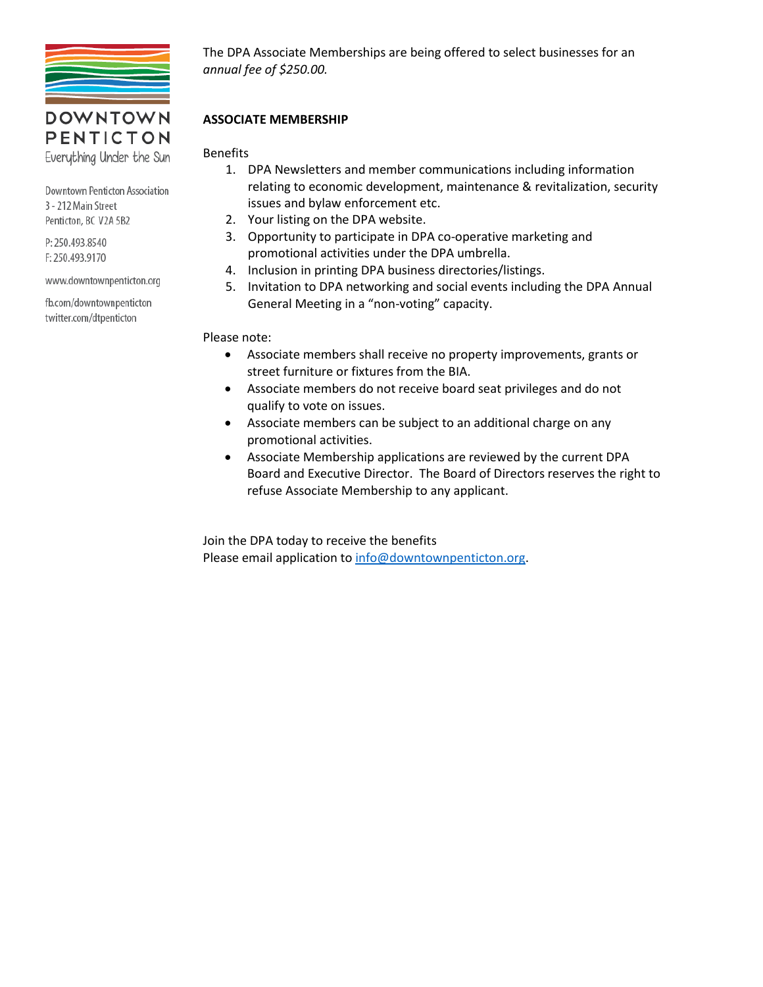

# **DOWNTOWN** PENTICTON

Everything Under the Sun

**Downtown Penticton Association** 3 - 212 Main Street Penticton, BC V2A 5B2

P: 250.493.8540 F: 250.493.9170

www.downtownpenticton.org

fb.com/downtownpenticton twitter.com/dtpenticton

The DPA Associate Memberships are being offered to select businesses for an *annual fee of \$250.00.*

### **ASSOCIATE MEMBERSHIP**

**Benefits** 

- 1. DPA Newsletters and member communications including information relating to economic development, maintenance & revitalization, security issues and bylaw enforcement etc.
- 2. Your listing on the DPA website.
- 3. Opportunity to participate in DPA co-operative marketing and promotional activities under the DPA umbrella.
- 4. Inclusion in printing DPA business directories/listings.
- 5. Invitation to DPA networking and social events including the DPA Annual General Meeting in a "non-voting" capacity.

Please note:

- Associate members shall receive no property improvements, grants or street furniture or fixtures from the BIA.
- Associate members do not receive board seat privileges and do not qualify to vote on issues.
- Associate members can be subject to an additional charge on any promotional activities.
- Associate Membership applications are reviewed by the current DPA Board and Executive Director. The Board of Directors reserves the right to refuse Associate Membership to any applicant.

Join the DPA today to receive the benefits Please email application to [info@downtownpenticton.org.](mailto:info@downtownpenticton.org)